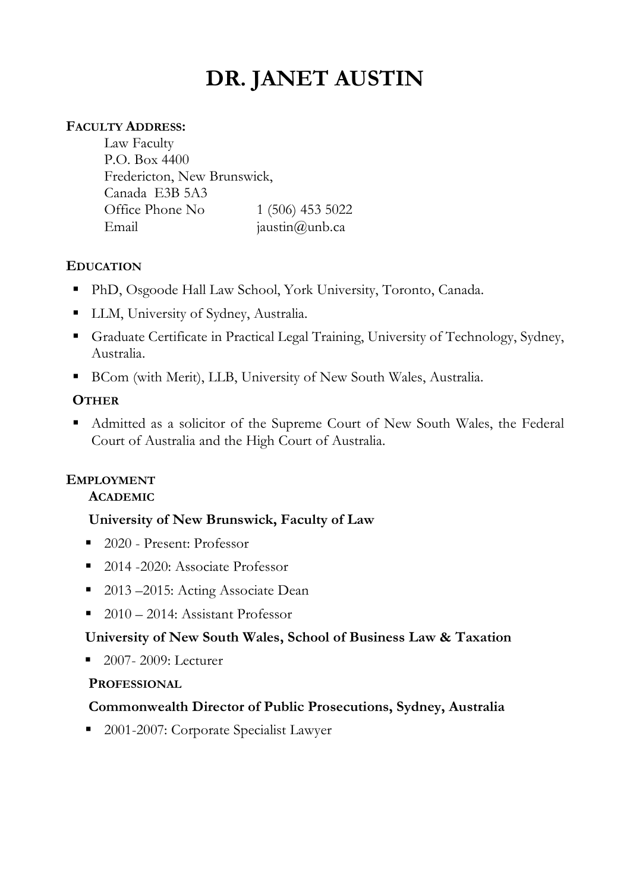# **DR. JANET AUSTIN**

## **FACULTY ADDRESS:**

Law Faculty P.O. Box 4400 Fredericton, New Brunswick, Canada E3B 5A3 Office Phone No 1 (506) 453 5022 Email jaustin@unb.ca

# **EDUCATION**

- § PhD, Osgoode Hall Law School, York University, Toronto, Canada.
- LLM, University of Sydney, Australia.
- Graduate Certificate in Practical Legal Training, University of Technology, Sydney, Australia.
- BCom (with Merit), LLB, University of New South Wales, Australia.

## **OTHER**

■ Admitted as a solicitor of the Supreme Court of New South Wales, the Federal Court of Australia and the High Court of Australia.

# **EMPLOYMENT**

#### **ACADEMIC**

#### **University of New Brunswick, Faculty of Law**

- 2020 Present: Professor
- 2014 -2020: Associate Professor
- 2013 –2015: Acting Associate Dean
- 2010 2014: Assistant Professor

#### **University of New South Wales, School of Business Law & Taxation**

■ 2007- 2009: Lecturer

#### **PROFESSIONAL**

#### **Commonwealth Director of Public Prosecutions, Sydney, Australia**

■ 2001-2007: Corporate Specialist Lawyer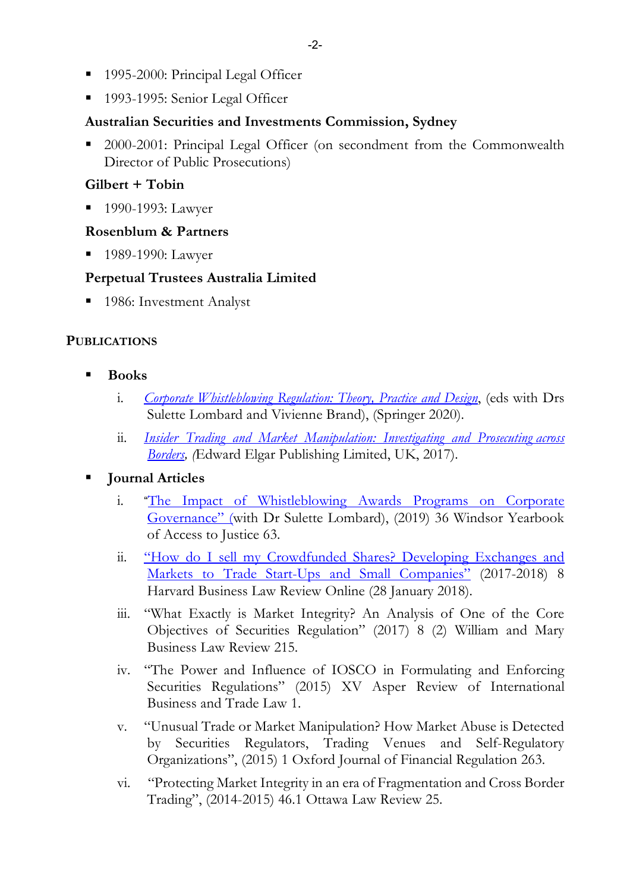- 1995-2000: Principal Legal Officer
- 1993-1995: Senior Legal Officer

#### **Australian Securities and Investments Commission, Sydney**

■ 2000-2001: Principal Legal Officer (on secondment from the Commonwealth Director of Public Prosecutions)

#### **Gilbert + Tobin**

■ 1990-1993: Lawyer

#### **Rosenblum & Partners**

■ 1989-1990: Lawyer

## **Perpetual Trustees Australia Limited**

■ 1986: Investment Analyst

#### **PUBLICATIONS**

- § **Books**
	- i. *Corporate Whistleblowing Regulation: Theory, Practice and Design*, (eds with Drs Sulette Lombard and Vivienne Brand), (Springer 2020).
	- ii. *Insider Trading and Market Manipulation: Investigating and Prosecuting across Borders, (*Edward Elgar Publishing Limited, UK, 2017).

#### § **Journal Articles**

- i. "The Impact of Whistleblowing Awards Programs on Corporate Governance" (with Dr Sulette Lombard), (2019) 36 Windsor Yearbook of Access to Justice 63.
- ii. "How do I sell my Crowdfunded Shares? Developing Exchanges and Markets to Trade Start-Ups and Small Companies" (2017-2018) 8 Harvard Business Law Review Online (28 January 2018).
- iii. "What Exactly is Market Integrity? An Analysis of One of the Core Objectives of Securities Regulation" (2017) 8 (2) William and Mary Business Law Review 215.
- iv. "The Power and Influence of IOSCO in Formulating and Enforcing Securities Regulations" (2015) XV Asper Review of International Business and Trade Law 1.
- v. "Unusual Trade or Market Manipulation? How Market Abuse is Detected by Securities Regulators, Trading Venues and Self-Regulatory Organizations", (2015) 1 Oxford Journal of Financial Regulation 263.
- vi. "Protecting Market Integrity in an era of Fragmentation and Cross Border Trading", (2014-2015) 46.1 Ottawa Law Review 25.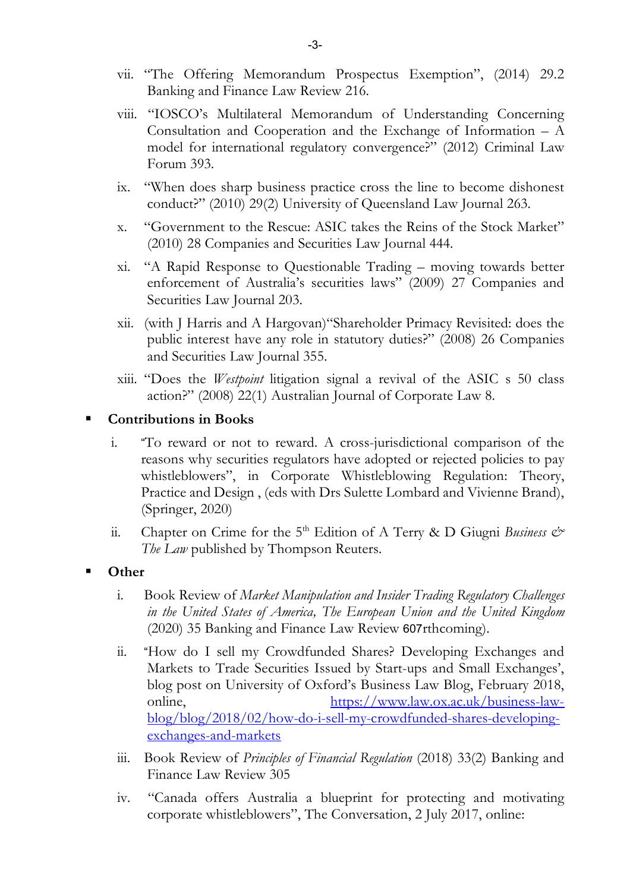- vii. "The Offering Memorandum Prospectus Exemption", (2014) 29.2 Banking and Finance Law Review 216.
- viii. "IOSCO's Multilateral Memorandum of Understanding Concerning Consultation and Cooperation and the Exchange of Information – A model for international regulatory convergence?" (2012) Criminal Law Forum 393.
- ix. "When does sharp business practice cross the line to become dishonest conduct?" (2010) 29(2) University of Queensland Law Journal 263.
- x. "Government to the Rescue: ASIC takes the Reins of the Stock Market" (2010) 28 Companies and Securities Law Journal 444.
- xi. "A Rapid Response to Questionable Trading moving towards better enforcement of Australia's securities laws" (2009) 27 Companies and Securities Law Journal 203.
- xii. (with J Harris and A Hargovan)"Shareholder Primacy Revisited: does the public interest have any role in statutory duties?" (2008) 26 Companies and Securities Law Journal 355.
- xiii. "Does the *Westpoint* litigation signal a revival of the ASIC s 50 class action?" (2008) 22(1) Australian Journal of Corporate Law 8.

#### § **Contributions in Books**

- i. "To reward or not to reward. A cross-jurisdictional comparison of the reasons why securities regulators have adopted or rejected policies to pay whistleblowers", in Corporate Whistleblowing Regulation: Theory, Practice and Design , (eds with Drs Sulette Lombard and Vivienne Brand), (Springer, 2020)
- ii. Chapter on Crime for the  $5<sup>th</sup>$  Edition of A Terry & D Giugni *Business*  $\mathcal{O}^*$ *The Law* published by Thompson Reuters.
- § **Other**
	- i. Book Review of *Market Manipulation and Insider Trading Regulatory Challenges in the United States of America, The European Union and the United Kingdom* (2020) 35 Banking and Finance Law Review 607rthcoming).
	- ii. "How do I sell my Crowdfunded Shares? Developing Exchanges and Markets to Trade Securities Issued by Start-ups and Small Exchanges', blog post on University of Oxford's Business Law Blog, February 2018, online, https://www.law.ox.ac.uk/business-lawblog/blog/2018/02/how-do-i-sell-my-crowdfunded-shares-developingexchanges-and-markets
	- iii. Book Review of *Principles of Financial Regulation* (2018) 33(2) Banking and Finance Law Review 305
	- iv. "Canada offers Australia a blueprint for protecting and motivating corporate whistleblowers", The Conversation, 2 July 2017, online: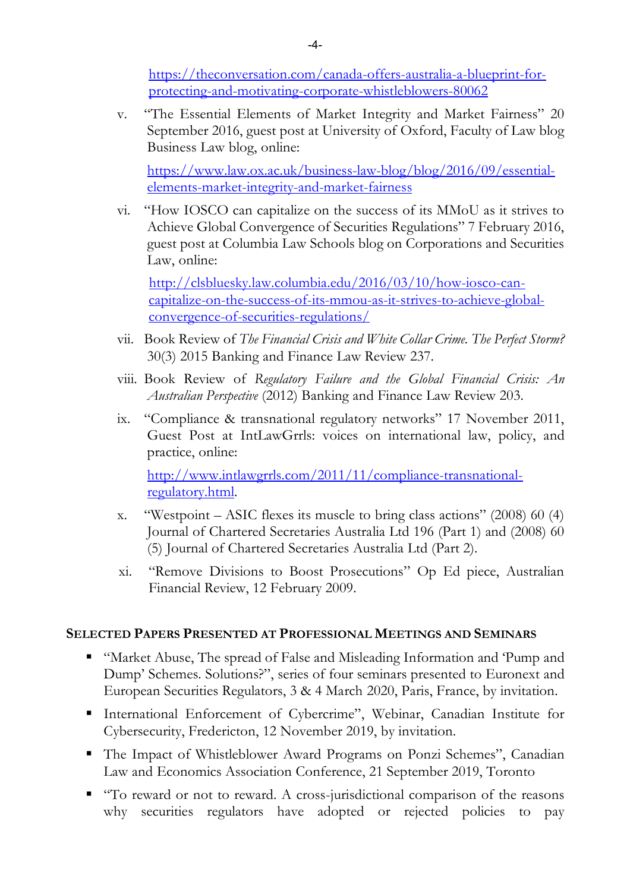https://theconversation.com/canada-offers-australia-a-blueprint-forprotecting-and-motivating-corporate-whistleblowers-80062

v. "The Essential Elements of Market Integrity and Market Fairness" 20 September 2016, guest post at University of Oxford, Faculty of Law blog Business Law blog, online:

https://www.law.ox.ac.uk/business-law-blog/blog/2016/09/essentialelements-market-integrity-and-market-fairness

vi. "How IOSCO can capitalize on the success of its MMoU as it strives to Achieve Global Convergence of Securities Regulations" 7 February 2016, guest post at Columbia Law Schools blog on Corporations and Securities Law, online:

http://clsbluesky.law.columbia.edu/2016/03/10/how-iosco-cancapitalize-on-the-success-of-its-mmou-as-it-strives-to-achieve-globalconvergence-of-securities-regulations/

- vii. Book Review of *The Financial Crisis and White Collar Crime. The Perfect Storm?* 30(3) 2015 Banking and Finance Law Review 237.
- viii. Book Review of *Regulatory Failure and the Global Financial Crisis: An Australian Perspective* (2012) Banking and Finance Law Review 203.
- ix. "Compliance & transnational regulatory networks" 17 November 2011, Guest Post at IntLawGrrls: voices on international law, policy, and practice, online:

http://www.intlawgrrls.com/2011/11/compliance-transnationalregulatory.html.

- x. "Westpoint ASIC flexes its muscle to bring class actions" (2008) 60 (4) Journal of Chartered Secretaries Australia Ltd 196 (Part 1) and (2008) 60 (5) Journal of Chartered Secretaries Australia Ltd (Part 2).
- xi. "Remove Divisions to Boost Prosecutions" Op Ed piece, Australian Financial Review, 12 February 2009.

#### **SELECTED PAPERS PRESENTED AT PROFESSIONAL MEETINGS AND SEMINARS**

- "Market Abuse, The spread of False and Misleading Information and 'Pump and Dump' Schemes. Solutions?", series of four seminars presented to Euronext and European Securities Regulators, 3 & 4 March 2020, Paris, France, by invitation.
- § International Enforcement of Cybercrime", Webinar, Canadian Institute for Cybersecurity, Fredericton, 12 November 2019, by invitation.
- The Impact of Whistleblower Award Programs on Ponzi Schemes", Canadian Law and Economics Association Conference, 21 September 2019, Toronto
- "To reward or not to reward. A cross-jurisdictional comparison of the reasons why securities regulators have adopted or rejected policies to pay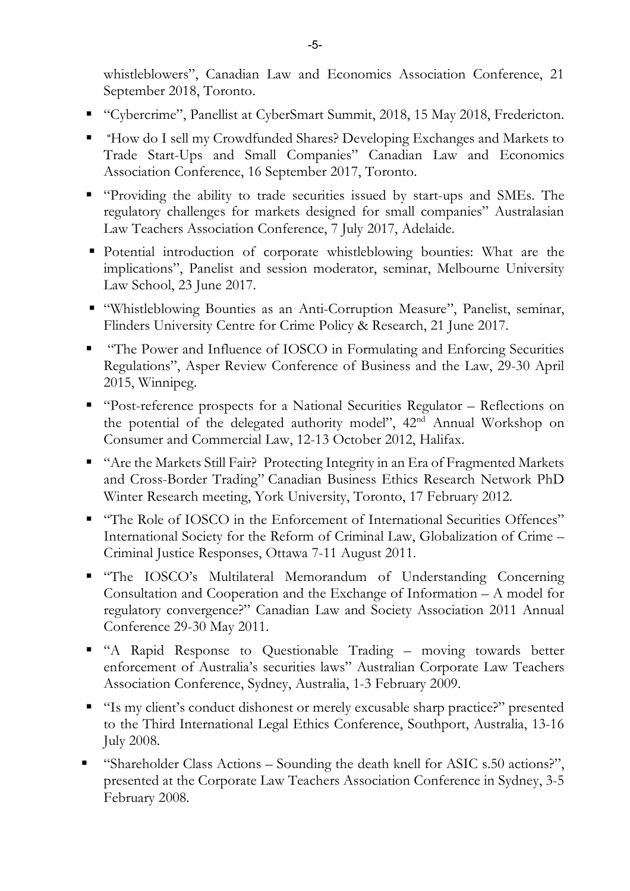whistleblowers", Canadian Law and Economics Association Conference, 21 September 2018, Toronto.

- "Cybercrime", Panellist at CyberSmart Summit, 2018, 15 May 2018, Fredericton.
- "How do I sell my Crowdfunded Shares? Developing Exchanges and Markets to Trade Start-Ups and Small Companies" Canadian Law and Economics Association Conference, 16 September 2017, Toronto.
- § "Providing the ability to trade securities issued by start-ups and SMEs. The regulatory challenges for markets designed for small companies" Australasian Law Teachers Association Conference, 7 July 2017, Adelaide.
- § Potential introduction of corporate whistleblowing bounties: What are the implications", Panelist and session moderator, seminar, Melbourne University Law School, 23 June 2017.
- "Whistleblowing Bounties as an Anti-Corruption Measure", Panelist, seminar, Flinders University Centre for Crime Policy & Research, 21 June 2017.
- "The Power and Influence of IOSCO in Formulating and Enforcing Securities Regulations", Asper Review Conference of Business and the Law, 29-30 April 2015, Winnipeg.
- "Post-reference prospects for a National Securities Regulator Reflections on the potential of the delegated authority model", 42nd Annual Workshop on Consumer and Commercial Law, 12-13 October 2012, Halifax.
- "Are the Markets Still Fair? Protecting Integrity in an Era of Fragmented Markets and Cross-Border Trading" Canadian Business Ethics Research Network PhD Winter Research meeting, York University, Toronto, 17 February 2012.
- "The Role of IOSCO in the Enforcement of International Securities Offences" International Society for the Reform of Criminal Law, Globalization of Crime – Criminal Justice Responses, Ottawa 7-11 August 2011.
- § "The IOSCO's Multilateral Memorandum of Understanding Concerning Consultation and Cooperation and the Exchange of Information – A model for regulatory convergence?" Canadian Law and Society Association 2011 Annual Conference 29-30 May 2011.
- § "A Rapid Response to Questionable Trading moving towards better enforcement of Australia's securities laws" Australian Corporate Law Teachers Association Conference, Sydney, Australia, 1-3 February 2009.
- "Is my client's conduct dishonest or merely excusable sharp practice?" presented to the Third International Legal Ethics Conference, Southport, Australia, 13-16 July 2008.
- § "Shareholder Class Actions Sounding the death knell for ASIC s.50 actions?", presented at the Corporate Law Teachers Association Conference in Sydney, 3-5 February 2008.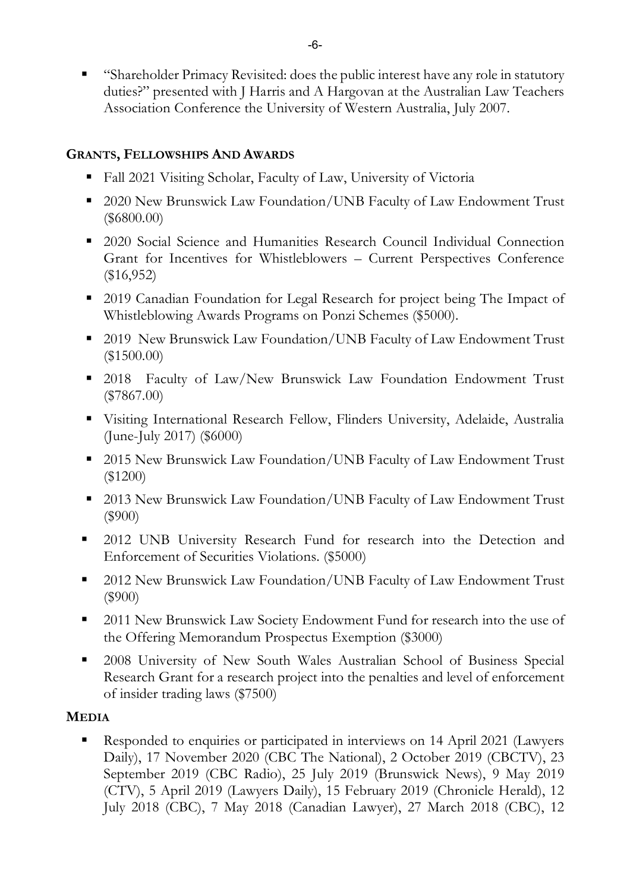§ "Shareholder Primacy Revisited: does the public interest have any role in statutory duties?" presented with J Harris and A Hargovan at the Australian Law Teachers Association Conference the University of Western Australia, July 2007.

# **GRANTS, FELLOWSHIPS AND AWARDS**

- Fall 2021 Visiting Scholar, Faculty of Law, University of Victoria
- 2020 New Brunswick Law Foundation/UNB Faculty of Law Endowment Trust (\$6800.00)
- 2020 Social Science and Humanities Research Council Individual Connection Grant for Incentives for Whistleblowers – Current Perspectives Conference (\$16,952)
- 2019 Canadian Foundation for Legal Research for project being The Impact of Whistleblowing Awards Programs on Ponzi Schemes (\$5000).
- 2019 New Brunswick Law Foundation/UNB Faculty of Law Endowment Trust (\$1500.00)
- § 2018 Faculty of Law/New Brunswick Law Foundation Endowment Trust (\$7867.00)
- § Visiting International Research Fellow, Flinders University, Adelaide, Australia (June-July 2017) (\$6000)
- 2015 New Brunswick Law Foundation/UNB Faculty of Law Endowment Trust (\$1200)
- 2013 New Brunswick Law Foundation/UNB Faculty of Law Endowment Trust (\$900)
- 2012 UNB University Research Fund for research into the Detection and Enforcement of Securities Violations. (\$5000)
- § 2012 New Brunswick Law Foundation/UNB Faculty of Law Endowment Trust (\$900)
- § 2011 New Brunswick Law Society Endowment Fund for research into the use of the Offering Memorandum Prospectus Exemption (\$3000)
- § 2008 University of New South Wales Australian School of Business Special Research Grant for a research project into the penalties and level of enforcement of insider trading laws (\$7500)

# **MEDIA**

§ Responded to enquiries or participated in interviews on 14 April 2021 (Lawyers Daily), 17 November 2020 (CBC The National), 2 October 2019 (CBCTV), 23 September 2019 (CBC Radio), 25 July 2019 (Brunswick News), 9 May 2019 (CTV), 5 April 2019 (Lawyers Daily), 15 February 2019 (Chronicle Herald), 12 July 2018 (CBC), 7 May 2018 (Canadian Lawyer), 27 March 2018 (CBC), 12